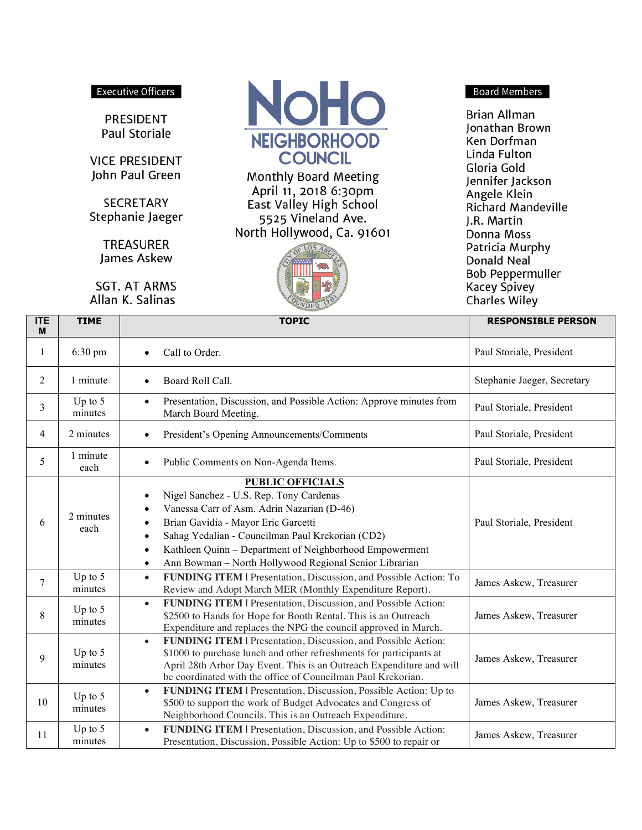#### **Executive Officers**

PRESIDENT Paul Storiale

**VICE PRESIDENT** John Paul Green

**SECRETARY** Stephanie Jaeger

> **TREASURER** James Askew

**SGT. AT ARMS** Allan K. Salinas



**Monthly Board Meeting** April 11, 2018 6:30pm East Valley High School 5525 Vineland Ave. North Hollywood, Ca. 91601



#### **Board Members**

Brian Allman Jonathan Brown Ken Dorfman Linda Fulton Gloria Gold Jennifer Jackson Angele Klein Richard Mandeville J.R. Martin Donna Moss Patricia Murphy Donald Neal **Bob Peppermuller Kacey Spivey Charles Wiley** 

| <b>ITE</b><br>M | <b>TIME</b>          | <b>TOPIC</b>                                                                                                                                                                                                                                                                                                                                                            | <b>RESPONSIBLE PERSON</b>   |
|-----------------|----------------------|-------------------------------------------------------------------------------------------------------------------------------------------------------------------------------------------------------------------------------------------------------------------------------------------------------------------------------------------------------------------------|-----------------------------|
| 1               | 6:30 pm              | Call to Order.                                                                                                                                                                                                                                                                                                                                                          | Paul Storiale, President    |
| $\overline{2}$  | 1 minute             | Board Roll Call.<br>$\bullet$                                                                                                                                                                                                                                                                                                                                           | Stephanie Jaeger, Secretary |
| 3               | Up to $5$<br>minutes | Presentation, Discussion, and Possible Action: Approve minutes from<br>$\bullet$<br>March Board Meeting.                                                                                                                                                                                                                                                                | Paul Storiale, President    |
| 4               | 2 minutes            | President's Opening Announcements/Comments<br>$\bullet$                                                                                                                                                                                                                                                                                                                 | Paul Storiale, President    |
| 5               | 1 minute<br>each     | Public Comments on Non-Agenda Items.                                                                                                                                                                                                                                                                                                                                    | Paul Storiale, President    |
| 6               | 2 minutes<br>each    | <b>PUBLIC OFFICIALS</b><br>Nigel Sanchez - U.S. Rep. Tony Cardenas<br>Vanessa Carr of Asm. Adrin Nazarian (D-46)<br>Brian Gavidia - Mayor Eric Garcetti<br>$\bullet$<br>Sahag Yedalian - Councilman Paul Krekorian (CD2)<br>Kathleen Quinn - Department of Neighborhood Empowerment<br>$\bullet$<br>Ann Bowman - North Hollywood Regional Senior Librarian<br>$\bullet$ | Paul Storiale, President    |
| $\tau$          | Up to $5$<br>minutes | <b>FUNDING ITEM   Presentation, Discussion, and Possible Action: To</b><br>$\bullet$<br>Review and Adopt March MER (Monthly Expenditure Report).                                                                                                                                                                                                                        | James Askew, Treasurer      |
| 8               | Up to $5$<br>minutes | FUNDING ITEM   Presentation, Discussion, and Possible Action:<br>$\bullet$<br>\$2500 to Hands for Hope for Booth Rental. This is an Outreach<br>Expenditure and replaces the NPG the council approved in March.                                                                                                                                                         | James Askew, Treasurer      |
| 9               | Up to $5$<br>minutes | <b>FUNDING ITEM   Presentation, Discussion, and Possible Action:</b><br>$\bullet$<br>\$1000 to purchase lunch and other refreshments for participants at<br>April 28th Arbor Day Event. This is an Outreach Expenditure and will<br>be coordinated with the office of Councilman Paul Krekorian.                                                                        | James Askew, Treasurer      |
| 10              | Up to $5$<br>minutes | FUNDING ITEM   Presentation, Discussion, Possible Action: Up to<br>$\bullet$<br>\$500 to support the work of Budget Advocates and Congress of<br>Neighborhood Councils. This is an Outreach Expenditure.                                                                                                                                                                | James Askew, Treasurer      |
| 11              | Up to $5$<br>minutes | FUNDING ITEM   Presentation, Discussion, and Possible Action:<br>$\bullet$<br>Presentation, Discussion, Possible Action: Up to \$500 to repair or                                                                                                                                                                                                                       | James Askew, Treasurer      |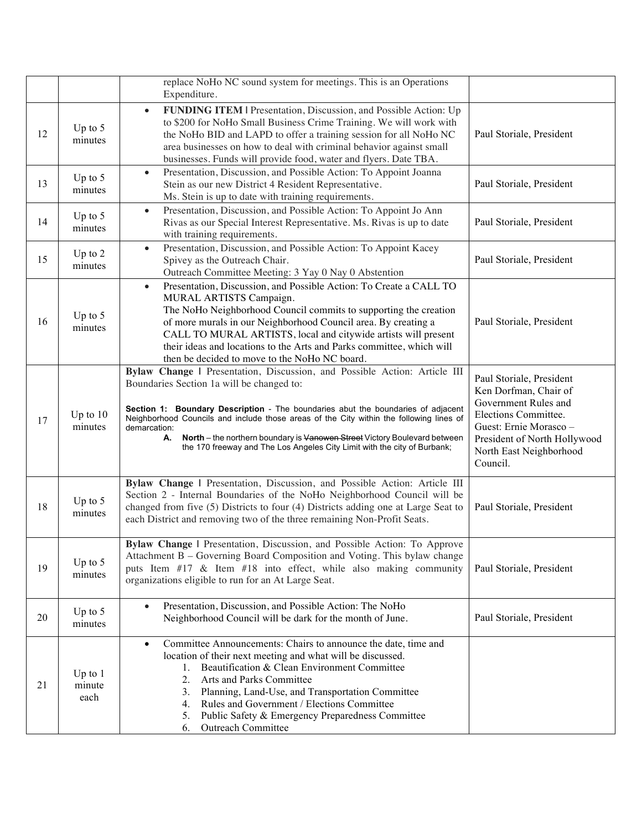|    |                             | replace NoHo NC sound system for meetings. This is an Operations<br>Expenditure.                                                                                                                                                                                                                                                                                                                                                                                                     |                                                                                                                                                                                                    |
|----|-----------------------------|--------------------------------------------------------------------------------------------------------------------------------------------------------------------------------------------------------------------------------------------------------------------------------------------------------------------------------------------------------------------------------------------------------------------------------------------------------------------------------------|----------------------------------------------------------------------------------------------------------------------------------------------------------------------------------------------------|
| 12 | Up to $5$<br>minutes        | FUNDING ITEM   Presentation, Discussion, and Possible Action: Up<br>$\bullet$<br>to \$200 for NoHo Small Business Crime Training. We will work with<br>the NoHo BID and LAPD to offer a training session for all NoHo NC<br>area businesses on how to deal with criminal behavior against small<br>businesses. Funds will provide food, water and flyers. Date TBA.                                                                                                                  | Paul Storiale, President                                                                                                                                                                           |
| 13 | Up to $5$<br>minutes        | Presentation, Discussion, and Possible Action: To Appoint Joanna<br>$\bullet$<br>Stein as our new District 4 Resident Representative.<br>Ms. Stein is up to date with training requirements.                                                                                                                                                                                                                                                                                         | Paul Storiale, President                                                                                                                                                                           |
| 14 | Up to $5$<br>minutes        | Presentation, Discussion, and Possible Action: To Appoint Jo Ann<br>$\bullet$<br>Rivas as our Special Interest Representative. Ms. Rivas is up to date<br>with training requirements.                                                                                                                                                                                                                                                                                                | Paul Storiale, President                                                                                                                                                                           |
| 15 | Up to $2$<br>minutes        | Presentation, Discussion, and Possible Action: To Appoint Kacey<br>$\bullet$<br>Spivey as the Outreach Chair.<br>Outreach Committee Meeting: 3 Yay 0 Nay 0 Abstention                                                                                                                                                                                                                                                                                                                | Paul Storiale, President                                                                                                                                                                           |
| 16 | Up to $5$<br>minutes        | Presentation, Discussion, and Possible Action: To Create a CALL TO<br>$\bullet$<br>MURAL ARTISTS Campaign.<br>The NoHo Neighborhood Council commits to supporting the creation<br>of more murals in our Neighborhood Council area. By creating a<br>CALL TO MURAL ARTISTS, local and citywide artists will present<br>their ideas and locations to the Arts and Parks committee, which will<br>then be decided to move to the NoHo NC board.                                         | Paul Storiale, President                                                                                                                                                                           |
| 17 | Up to $10$<br>minutes       | Bylaw Change   Presentation, Discussion, and Possible Action: Article III<br>Boundaries Section 1a will be changed to:<br>Section 1: Boundary Description - The boundaries abut the boundaries of adjacent<br>Neighborhood Councils and include those areas of the City within the following lines of<br>demarcation:<br>North - the northern boundary is Vanowen Street Victory Boulevard between<br>А.<br>the 170 freeway and The Los Angeles City Limit with the city of Burbank; | Paul Storiale, President<br>Ken Dorfman, Chair of<br>Government Rules and<br>Elections Committee.<br>Guest: Ernie Morasco -<br>President of North Hollywood<br>North East Neighborhood<br>Council. |
| 18 | Up to $5$<br>minutes        | Bylaw Change   Presentation, Discussion, and Possible Action: Article III<br>Section 2 - Internal Boundaries of the NoHo Neighborhood Council will be<br>changed from five (5) Districts to four (4) Districts adding one at Large Seat to<br>each District and removing two of the three remaining Non-Profit Seats.                                                                                                                                                                | Paul Storiale, President                                                                                                                                                                           |
| 19 | Up to $5$<br>minutes        | Bylaw Change   Presentation, Discussion, and Possible Action: To Approve<br>Attachment B – Governing Board Composition and Voting. This bylaw change<br>puts Item #17 & Item #18 into effect, while also making community<br>organizations eligible to run for an At Large Seat.                                                                                                                                                                                                     | Paul Storiale, President                                                                                                                                                                           |
| 20 | Up to $5$<br>minutes        | Presentation, Discussion, and Possible Action: The NoHo<br>$\bullet$<br>Neighborhood Council will be dark for the month of June.                                                                                                                                                                                                                                                                                                                                                     | Paul Storiale, President                                                                                                                                                                           |
| 21 | Up to $1$<br>minute<br>each | Committee Announcements: Chairs to announce the date, time and<br>$\bullet$<br>location of their next meeting and what will be discussed.<br>Beautification & Clean Environment Committee<br>1.<br>Arts and Parks Committee<br>2.<br>Planning, Land-Use, and Transportation Committee<br>3.<br>Rules and Government / Elections Committee<br>4.<br>Public Safety & Emergency Preparedness Committee<br>5.<br>Outreach Committee<br>6.                                                |                                                                                                                                                                                                    |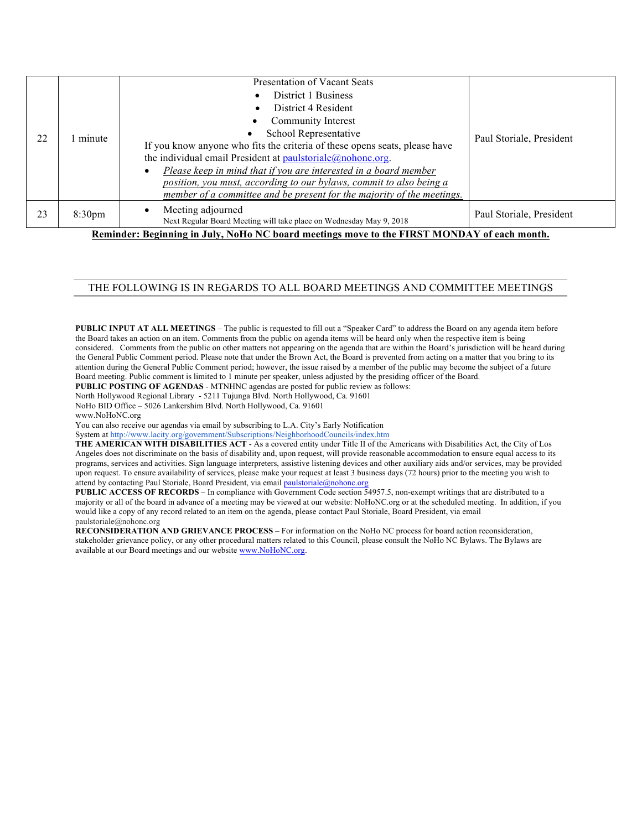| 22 | minute             | <b>Presentation of Vacant Seats</b><br>District 1 Business<br>District 4 Resident<br>Community Interest<br>School Representative<br>If you know anyone who fits the criteria of these opens seats, please have<br>the individual email President at $p$ aulstoriale $\omega$ nohonc.org.<br>Please keep in mind that if you are interested in a board member<br>$\bullet$<br>position, you must, according to our bylaws, commit to also being a<br>member of a committee and be present for the majority of the meetings. | Paul Storiale, President |
|----|--------------------|----------------------------------------------------------------------------------------------------------------------------------------------------------------------------------------------------------------------------------------------------------------------------------------------------------------------------------------------------------------------------------------------------------------------------------------------------------------------------------------------------------------------------|--------------------------|
| 23 | 8:30 <sub>pm</sub> | Meeting adjourned<br>$\bullet$<br>Next Regular Board Meeting will take place on Wednesday May 9, 2018                                                                                                                                                                                                                                                                                                                                                                                                                      | Paul Storiale, President |
|    |                    | Reminder: Beginning in July, NoHo NC board meetings move to the FIRST MONDAY of each month.                                                                                                                                                                                                                                                                                                                                                                                                                                |                          |

#### THE FOLLOWING IS IN REGARDS TO ALL BOARD MEETINGS AND COMMITTEE MEETINGS

**PUBLIC INPUT AT ALL MEETINGS** – The public is requested to fill out a "Speaker Card" to address the Board on any agenda item before the Board takes an action on an item. Comments from the public on agenda items will be heard only when the respective item is being considered. Comments from the public on other matters not appearing on the agenda that are within the Board's jurisdiction will be heard during the General Public Comment period. Please note that under the Brown Act, the Board is prevented from acting on a matter that you bring to its attention during the General Public Comment period; however, the issue raised by a member of the public may become the subject of a future Board meeting. Public comment is limited to 1 minute per speaker, unless adjusted by the presiding officer of the Board.

**PUBLIC POSTING OF AGENDAS** - MTNHNC agendas are posted for public review as follows: North Hollywood Regional Library - 5211 Tujunga Blvd. North Hollywood, Ca. 91601

NoHo BID Office – 5026 Lankershim Blvd. North Hollywood, Ca. 91601

www.NoHoNC.org

You can also receive our agendas via email by subscribing to L.A. City's Early Notification

System at http://www.lacity.org/government/Subscriptions/NeighborhoodCouncils/index.htm

**THE AMERICAN WITH DISABILITIES ACT** - As a covered entity under Title II of the Americans with Disabilities Act, the City of Los Angeles does not discriminate on the basis of disability and, upon request, will provide reasonable accommodation to ensure equal access to its programs, services and activities. Sign language interpreters, assistive listening devices and other auxiliary aids and/or services, may be provided upon request. To ensure availability of services, please make your request at least 3 business days (72 hours) prior to the meeting you wish to attend by contacting Paul Storiale, Board President, via email *paulstoriale@nohonc.org* 

**PUBLIC ACCESS OF RECORDS** – In compliance with Government Code section 54957.5, non-exempt writings that are distributed to a majority or all of the board in advance of a meeting may be viewed at our website: NoHoNC.org or at the scheduled meeting. In addition, if you would like a copy of any record related to an item on the agenda, please contact Paul Storiale, Board President, via email paulstoriale@nohonc.org

**RECONSIDERATION AND GRIEVANCE PROCESS** – For information on the NoHo NC process for board action reconsideration, stakeholder grievance policy, or any other procedural matters related to this Council, please consult the NoHo NC Bylaws. The Bylaws are available at our Board meetings and our website www.NoHoNC.org.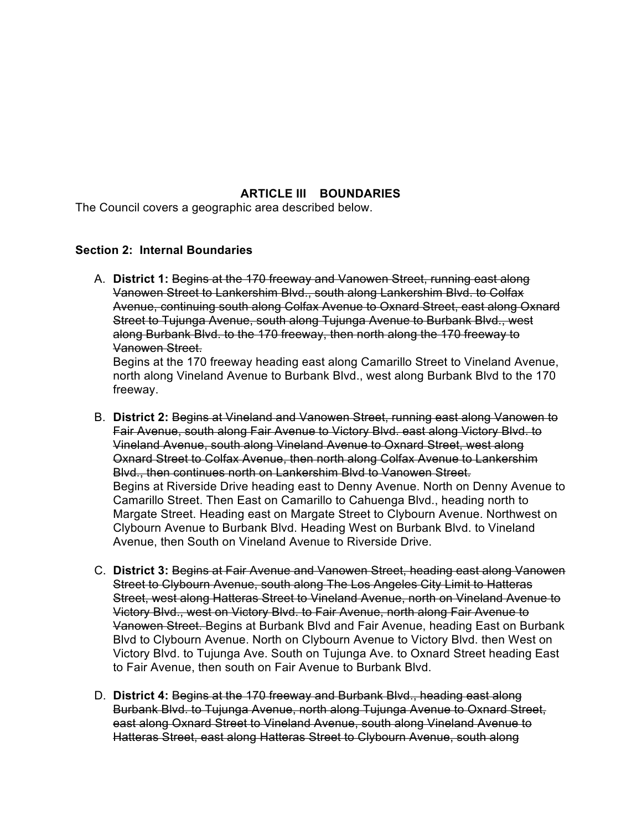## **ARTICLE III BOUNDARIES**

The Council covers a geographic area described below.

### **Section 2: Internal Boundaries**

A. **District 1:** Begins at the 170 freeway and Vanowen Street, running east along Vanowen Street to Lankershim Blvd., south along Lankershim Blvd. to Colfax Avenue, continuing south along Colfax Avenue to Oxnard Street, east along Oxnard Street to Tujunga Avenue, south along Tujunga Avenue to Burbank Blvd., west along Burbank Blvd. to the 170 freeway, then north along the 170 freeway to Vanowen Street.

Begins at the 170 freeway heading east along Camarillo Street to Vineland Avenue, north along Vineland Avenue to Burbank Blvd., west along Burbank Blvd to the 170 freeway.

- B. **District 2:** Begins at Vineland and Vanowen Street, running east along Vanowen to Fair Avenue, south along Fair Avenue to Victory Blvd. east along Victory Blvd. to Vineland Avenue, south along Vineland Avenue to Oxnard Street, west along Oxnard Street to Colfax Avenue, then north along Colfax Avenue to Lankershim Blvd., then continues north on Lankershim Blvd to Vanowen Street. Begins at Riverside Drive heading east to Denny Avenue. North on Denny Avenue to Camarillo Street. Then East on Camarillo to Cahuenga Blvd., heading north to Margate Street. Heading east on Margate Street to Clybourn Avenue. Northwest on Clybourn Avenue to Burbank Blvd. Heading West on Burbank Blvd. to Vineland Avenue, then South on Vineland Avenue to Riverside Drive.
- C. **District 3:** Begins at Fair Avenue and Vanowen Street, heading east along Vanowen Street to Clybourn Avenue, south along The Los Angeles City Limit to Hatteras Street, west along Hatteras Street to Vineland Avenue, north on Vineland Avenue to Victory Blvd., west on Victory Blvd. to Fair Avenue, north along Fair Avenue to Vanowen Street. Begins at Burbank Blvd and Fair Avenue, heading East on Burbank Blvd to Clybourn Avenue. North on Clybourn Avenue to Victory Blvd. then West on Victory Blvd. to Tujunga Ave. South on Tujunga Ave. to Oxnard Street heading East to Fair Avenue, then south on Fair Avenue to Burbank Blvd.
- D. **District 4:** Begins at the 170 freeway and Burbank Blvd., heading east along Burbank Blvd. to Tujunga Avenue, north along Tujunga Avenue to Oxnard Street, east along Oxnard Street to Vineland Avenue, south along Vineland Avenue to Hatteras Street, east along Hatteras Street to Clybourn Avenue, south along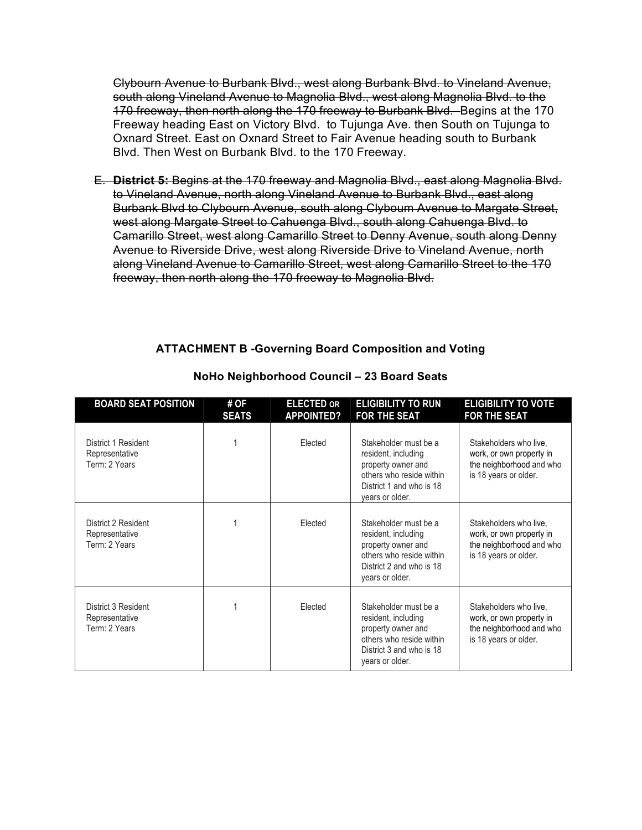Clybourn Avenue to Burbank Blvd., west along Burbank Blvd. to Vineland Avenue, south along Vineland Avenue to Magnolia Blvd., west along Magnolia Blvd. to the 170 freeway, then north along the 170 freeway to Burbank Blvd. Begins at the 170 Freeway heading East on Victory Blvd. to Tujunga Ave. then South on Tujunga to Oxnard Street. East on Oxnard Street to Fair Avenue heading south to Burbank Blvd. Then West on Burbank Blvd. to the 170 Freeway.

E. **District 5:** Begins at the 170 freeway and Magnolia Blvd., east along Magnolia Blvd. to Vineland Avenue, north along Vineland Avenue to Burbank Blvd., east along Burbank Blvd to Clybourn Avenue, south along Clyboum Avenue to Margate Street, west along Margate Street to Cahuenga Blvd., south along Cahuenga Blvd. to Camarillo Street, west along Camarillo Street to Denny Avenue, south along Denny Avenue to Riverside Drive, west along Riverside Drive to Vineland Avenue, north along Vineland Avenue to Camarillo Street, west along Camarillo Street to the 170 freeway, then north along the 170 freeway to Magnolia Blvd.

# **ATTACHMENT B -Governing Board Composition and Voting**

| <b>BOARD SEAT POSITION</b>                             | # OF<br><b>SEATS</b> | <b>ELECTED OR</b><br><b>APPOINTED?</b> | <b>ELIGIBILITY TO RUN</b><br><b>FOR THE SEAT</b>                                                                                              | <b>ELIGIBILITY TO VOTE</b><br><b>FOR THE SEAT</b>                                                       |
|--------------------------------------------------------|----------------------|----------------------------------------|-----------------------------------------------------------------------------------------------------------------------------------------------|---------------------------------------------------------------------------------------------------------|
| District 1 Resident<br>Representative<br>Term: 2 Years |                      | Elected                                | Stakeholder must be a<br>resident, including<br>property owner and<br>others who reside within<br>District 1 and who is 18<br>years or older. | Stakeholders who live,<br>work, or own property in<br>the neighborhood and who<br>is 18 years or older. |
| District 2 Resident<br>Representative<br>Term: 2 Years |                      | Elected                                | Stakeholder must be a<br>resident, including<br>property owner and<br>others who reside within<br>District 2 and who is 18<br>years or older. | Stakeholders who live,<br>work, or own property in<br>the neighborhood and who<br>is 18 years or older. |
| District 3 Resident<br>Representative<br>Term: 2 Years |                      | Elected                                | Stakeholder must be a<br>resident, including<br>property owner and<br>others who reside within<br>District 3 and who is 18<br>years or older. | Stakeholders who live,<br>work, or own property in<br>the neighborhood and who<br>is 18 years or older. |

### **NoHo Neighborhood Council – 23 Board Seats**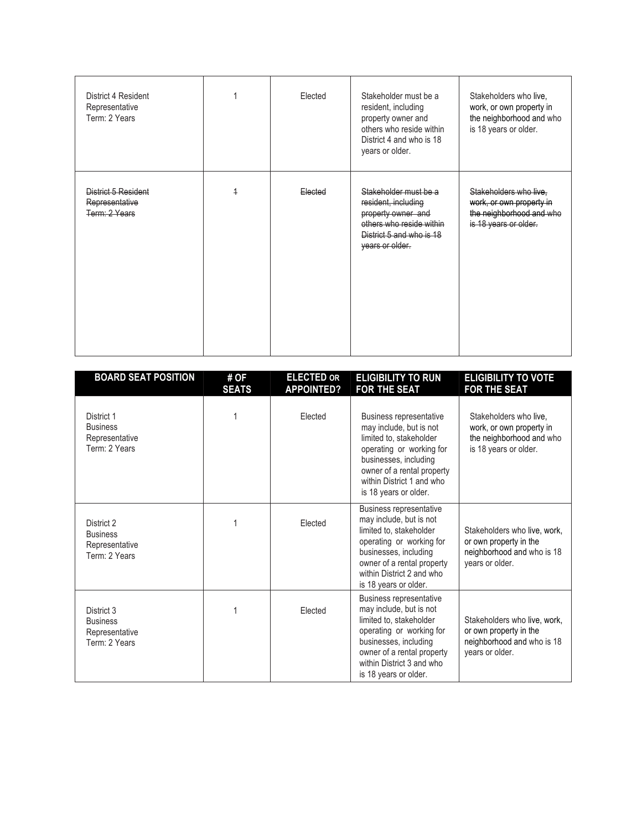| District 4 Resident<br>Representative<br>Term: 2 Years |                | Elected | Stakeholder must be a<br>resident, including<br>property owner and<br>others who reside within<br>District 4 and who is 18<br>years or older. | Stakeholders who live,<br>work, or own property in<br>the neighborhood and who<br>is 18 years or older. |
|--------------------------------------------------------|----------------|---------|-----------------------------------------------------------------------------------------------------------------------------------------------|---------------------------------------------------------------------------------------------------------|
| District 5 Resident<br>Representative<br>Term: 2 Years | $\overline{1}$ | Elected | Stakeholder must be a<br>resident, including<br>property owner and<br>others who reside within<br>District 5 and who is 18<br>years or older. | Stakeholders who live,<br>work, or own property in<br>the neighborhood and who<br>is 18 years or older. |

| <b>BOARD SEAT POSITION</b>                                       | # OF<br><b>SEATS</b> | <b>ELECTED OR</b><br><b>APPOINTED?</b> | <b>ELIGIBILITY TO RUN</b><br><b>FOR THE SEAT</b>                                                                                                                                                                              | <b>ELIGIBILITY TO VOTE</b><br><b>FOR THE SEAT</b>                                                       |
|------------------------------------------------------------------|----------------------|----------------------------------------|-------------------------------------------------------------------------------------------------------------------------------------------------------------------------------------------------------------------------------|---------------------------------------------------------------------------------------------------------|
| District 1<br><b>Business</b><br>Representative<br>Term: 2 Years |                      | Elected                                | <b>Business representative</b><br>may include, but is not<br>limited to, stakeholder<br>operating or working for<br>businesses, including<br>owner of a rental property<br>within District 1 and who<br>is 18 years or older. | Stakeholders who live,<br>work, or own property in<br>the neighborhood and who<br>is 18 years or older. |
| District 2<br><b>Business</b><br>Representative<br>Term: 2 Years |                      | Elected                                | Business representative<br>may include, but is not<br>limited to, stakeholder<br>operating or working for<br>businesses, including<br>owner of a rental property<br>within District 2 and who<br>is 18 years or older.        | Stakeholders who live, work,<br>or own property in the<br>neighborhood and who is 18<br>years or older. |
| District 3<br><b>Business</b><br>Representative<br>Term: 2 Years |                      | Elected                                | <b>Business representative</b><br>may include, but is not<br>limited to, stakeholder<br>operating or working for<br>businesses, including<br>owner of a rental property<br>within District 3 and who<br>is 18 years or older. | Stakeholders who live, work,<br>or own property in the<br>neighborhood and who is 18<br>years or older. |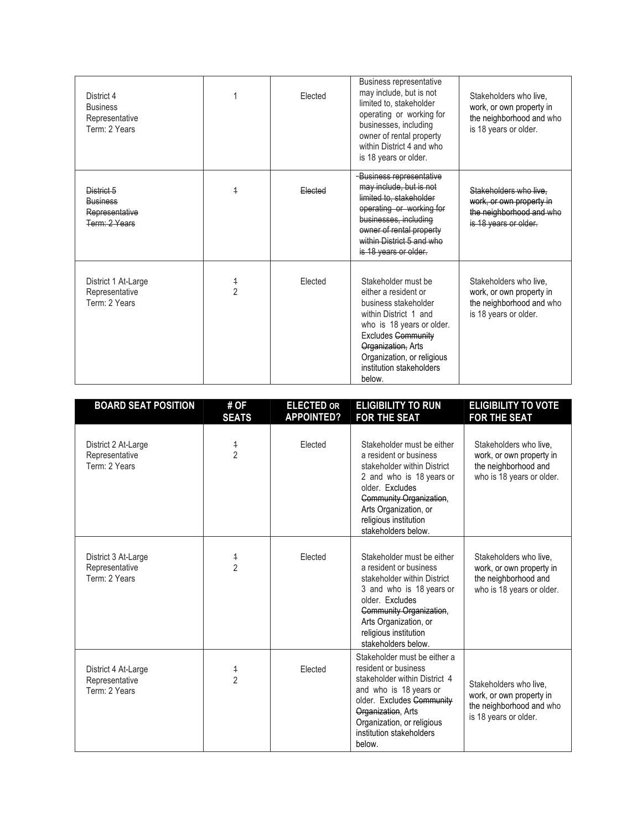| District 4<br><b>Business</b><br>Representative<br>Term: 2 Years |                | Elected | Business representative<br>may include, but is not<br>limited to, stakeholder<br>operating or working for<br>businesses, including<br>owner of rental property<br>within District 4 and who<br>is 18 years or older.                             | Stakeholders who live.<br>work, or own property in<br>the neighborhood and who<br>is 18 years or older. |
|------------------------------------------------------------------|----------------|---------|--------------------------------------------------------------------------------------------------------------------------------------------------------------------------------------------------------------------------------------------------|---------------------------------------------------------------------------------------------------------|
| District 5<br><b>Business</b><br>Representative<br>Term: 2 Years | $\overline{1}$ | Elected | Business representative<br>may include, but is not<br>limited to, stakeholder<br>operating or working for<br>businesses, including<br>owner of rental property<br>within District 5 and who<br>is 18 years or older.                             | Stakeholders who live.<br>work, or own property in<br>the neighborhood and who<br>is 18 years or older. |
| District 1 At-Large<br>Representative<br>Term: 2 Years           | $\frac{4}{2}$  | Elected | Stakeholder must be<br>either a resident or<br>business stakeholder<br>within District 1 and<br>who is 18 years or older.<br><b>Excludes Community</b><br>Organization, Arts<br>Organization, or religious<br>institution stakeholders<br>below. | Stakeholders who live.<br>work, or own property in<br>the neighborhood and who<br>is 18 years or older. |

| <b>BOARD SEAT POSITION</b>                             | # OF<br><b>SEATS</b>         | <b>ELECTED OR</b><br><b>APPOINTED?</b> | <b>ELIGIBILITY TO RUN</b><br><b>FOR THE SEAT</b>                                                                                                                                                                                       | <b>ELIGIBILITY TO VOTE</b><br><b>FOR THE SEAT</b>                                                       |
|--------------------------------------------------------|------------------------------|----------------------------------------|----------------------------------------------------------------------------------------------------------------------------------------------------------------------------------------------------------------------------------------|---------------------------------------------------------------------------------------------------------|
| District 2 At-Large<br>Representative<br>Term: 2 Years | $\frac{4}{2}$                | Elected                                | Stakeholder must be either<br>a resident or business<br>stakeholder within District<br>2 and who is 18 years or<br>older. Excludes<br>Community Organization,<br>Arts Organization, or<br>religious institution<br>stakeholders below. | Stakeholders who live.<br>work, or own property in<br>the neighborhood and<br>who is 18 years or older. |
| District 3 At-Large<br>Representative<br>Term: 2 Years | $\ddagger$<br>$\overline{2}$ | Elected                                | Stakeholder must be either<br>a resident or business<br>stakeholder within District<br>3 and who is 18 years or<br>older. Excludes<br>Community Organization,<br>Arts Organization, or<br>religious institution<br>stakeholders below. | Stakeholders who live,<br>work, or own property in<br>the neighborhood and<br>who is 18 years or older. |
| District 4 At-Large<br>Representative<br>Term: 2 Years | $\ddagger$<br>$\overline{2}$ | Elected                                | Stakeholder must be either a<br>resident or business<br>stakeholder within District 4<br>and who is 18 years or<br>older. Excludes Community<br>Organization, Arts<br>Organization, or religious<br>institution stakeholders<br>below. | Stakeholders who live.<br>work, or own property in<br>the neighborhood and who<br>is 18 years or older. |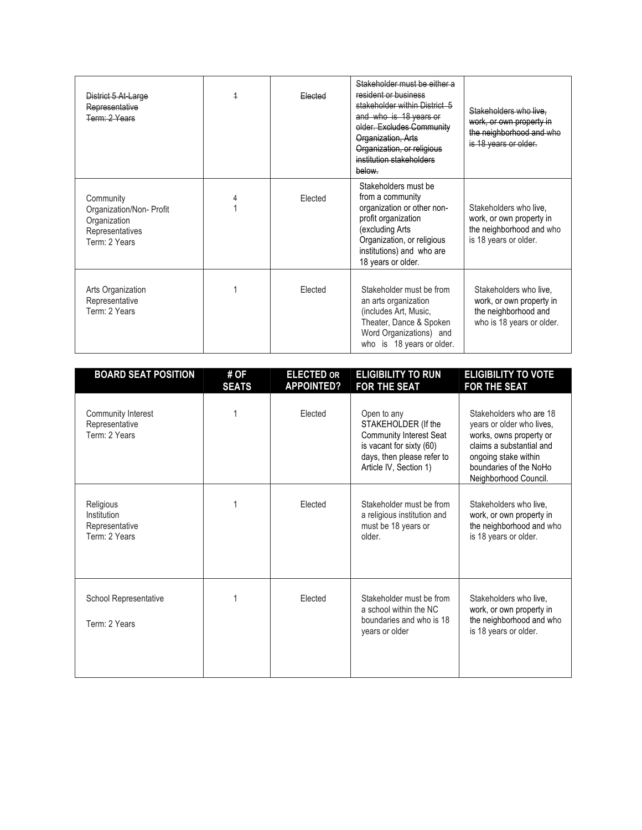| District 5 At-Large<br>Representative<br>Term: 2 Years                                    | $\overline{1}$ | Elected | Stakeholder must be either a<br>resident or business<br>stakeholder within District 5<br>and who is 18 years or<br>older. Excludes Community<br>Organization, Arts<br>Organization, or religious<br>institution stakeholders<br>below. | Stakeholders who live.<br>work, or own property in<br>the neighborhood and who<br>is 18 years or older. |
|-------------------------------------------------------------------------------------------|----------------|---------|----------------------------------------------------------------------------------------------------------------------------------------------------------------------------------------------------------------------------------------|---------------------------------------------------------------------------------------------------------|
| Community<br>Organization/Non- Profit<br>Organization<br>Representatives<br>Term: 2 Years |                | Elected | Stakeholders must be<br>from a community<br>organization or other non-<br>profit organization<br>(excluding Arts<br>Organization, or religious<br>institutions) and who are<br>18 years or older.                                      | Stakeholders who live.<br>work, or own property in<br>the neighborhood and who<br>is 18 years or older. |
| Arts Organization<br>Representative<br>Term: 2 Years                                      |                | Elected | Stakeholder must be from<br>an arts organization<br>(includes Art, Music,<br>Theater, Dance & Spoken<br>Word Organizations) and<br>who is 18 years or older.                                                                           | Stakeholders who live,<br>work, or own property in<br>the neighborhood and<br>who is 18 years or older. |

| <b>BOARD SEAT POSITION</b>                                  | # OF<br><b>SEATS</b> | <b>ELECTED OR</b><br><b>APPOINTED?</b> | <b>ELIGIBILITY TO RUN</b><br><b>FOR THE SEAT</b>                                                                                                         | <b>ELIGIBILITY TO VOTE</b><br><b>FOR THE SEAT</b>                                                                                                                                      |
|-------------------------------------------------------------|----------------------|----------------------------------------|----------------------------------------------------------------------------------------------------------------------------------------------------------|----------------------------------------------------------------------------------------------------------------------------------------------------------------------------------------|
| Community Interest<br>Representative<br>Term: 2 Years       |                      | Elected                                | Open to any<br>STAKEHOLDER (If the<br><b>Community Interest Seat</b><br>is vacant for sixty (60)<br>days, then please refer to<br>Article IV, Section 1) | Stakeholders who are 18<br>years or older who lives,<br>works, owns property or<br>claims a substantial and<br>ongoing stake within<br>boundaries of the NoHo<br>Neighborhood Council. |
| Religious<br>Institution<br>Representative<br>Term: 2 Years |                      | Elected                                | Stakeholder must be from<br>a religious institution and<br>must be 18 years or<br>older.                                                                 | Stakeholders who live.<br>work, or own property in<br>the neighborhood and who<br>is 18 years or older.                                                                                |
| School Representative<br>Term: 2 Years                      |                      | Elected                                | Stakeholder must be from<br>a school within the NC<br>boundaries and who is 18<br>years or older                                                         | Stakeholders who live,<br>work, or own property in<br>the neighborhood and who<br>is 18 years or older.                                                                                |